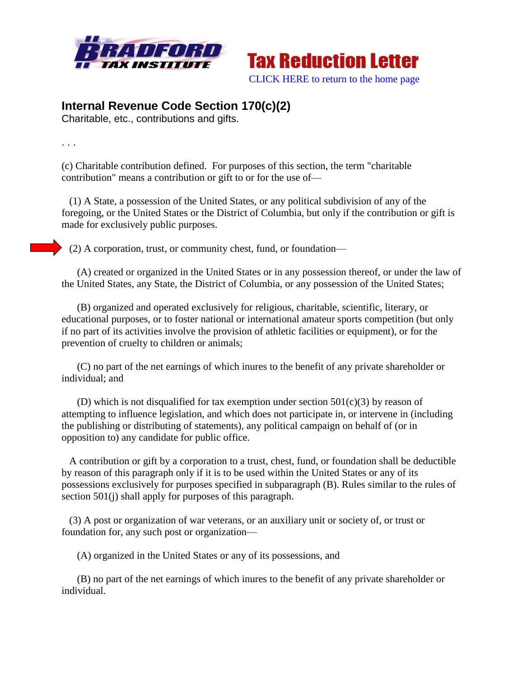



## **Internal Revenue Code Section 170(c)(2)**

Charitable, etc., contributions and gifts.

. . .

(c) Charitable contribution defined. For purposes of this section, the term "charitable contribution" means a contribution or gift to or for the use of—

 (1) A State, a possession of the United States, or any political subdivision of any of the foregoing, or the United States or the District of Columbia, but only if the contribution or gift is made for exclusively public purposes.

(2) A corporation, trust, or community chest, fund, or foundation—

 (A) created or organized in the United States or in any possession thereof, or under the law of the United States, any State, the District of Columbia, or any possession of the United States;

 (B) organized and operated exclusively for religious, charitable, scientific, literary, or educational purposes, or to foster national or international amateur sports competition (but only if no part of its activities involve the provision of athletic facilities or equipment), or for the prevention of cruelty to children or animals;

 (C) no part of the net earnings of which inures to the benefit of any private shareholder or individual; and

(D) which is not disqualified for tax exemption under section  $501(c)(3)$  by reason of attempting to influence legislation, and which does not participate in, or intervene in (including the publishing or distributing of statements), any political campaign on behalf of (or in opposition to) any candidate for public office.

 A contribution or gift by a corporation to a trust, chest, fund, or foundation shall be deductible by reason of this paragraph only if it is to be used within the United States or any of its possessions exclusively for purposes specified in subparagraph (B). Rules similar to the rules of section 501(j) shall apply for purposes of this paragraph.

 (3) A post or organization of war veterans, or an auxiliary unit or society of, or trust or foundation for, any such post or organization—

(A) organized in the United States or any of its possessions, and

 (B) no part of the net earnings of which inures to the benefit of any private shareholder or individual.